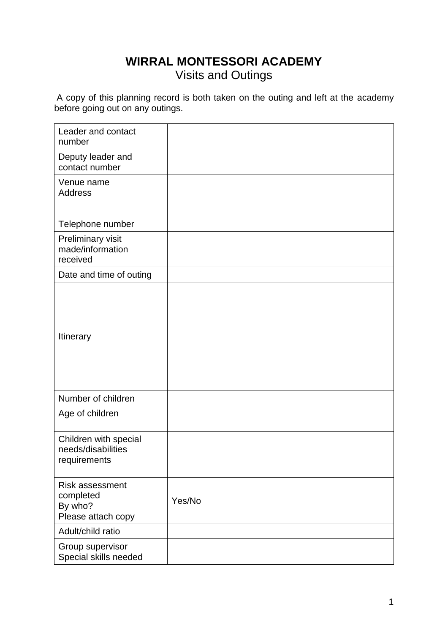## **WIRRAL MONTESSORI ACADEMY** Visits and Outings

A copy of this planning record is both taken on the outing and left at the academy before going out on any outings.

| Leader and contact<br>number                                  |        |
|---------------------------------------------------------------|--------|
| Deputy leader and<br>contact number                           |        |
| Venue name<br><b>Address</b>                                  |        |
| Telephone number                                              |        |
| Preliminary visit<br>made/information<br>received             |        |
| Date and time of outing                                       |        |
| Itinerary                                                     |        |
| Number of children                                            |        |
| Age of children                                               |        |
| Children with special<br>needs/disabilities<br>requirements   |        |
| Risk assessment<br>completed<br>By who?<br>Please attach copy | Yes/No |
| Adult/child ratio                                             |        |
| Group supervisor<br>Special skills needed                     |        |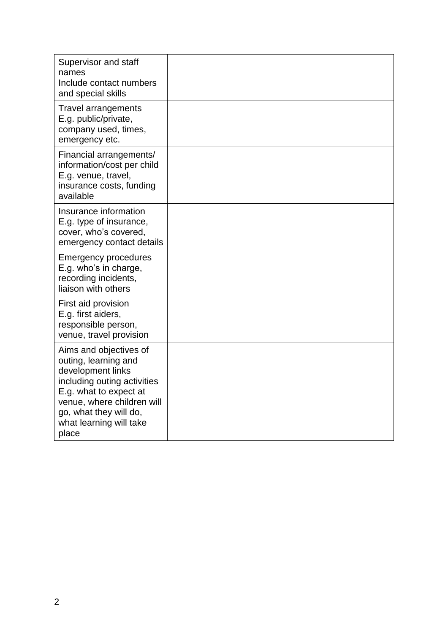| Supervisor and staff<br>names<br>Include contact numbers<br>and special skills                                                                                                                                           |  |
|--------------------------------------------------------------------------------------------------------------------------------------------------------------------------------------------------------------------------|--|
| <b>Travel arrangements</b><br>E.g. public/private,<br>company used, times,<br>emergency etc.                                                                                                                             |  |
| Financial arrangements/<br>information/cost per child<br>E.g. venue, travel,<br>insurance costs, funding<br>available                                                                                                    |  |
| Insurance information<br>E.g. type of insurance,<br>cover, who's covered,<br>emergency contact details                                                                                                                   |  |
| <b>Emergency procedures</b><br>E.g. who's in charge,<br>recording incidents,<br>liaison with others                                                                                                                      |  |
| First aid provision<br>E.g. first aiders,<br>responsible person,<br>venue, travel provision                                                                                                                              |  |
| Aims and objectives of<br>outing, learning and<br>development links<br>including outing activities<br>E.g. what to expect at<br>venue, where children will<br>go, what they will do,<br>what learning will take<br>place |  |